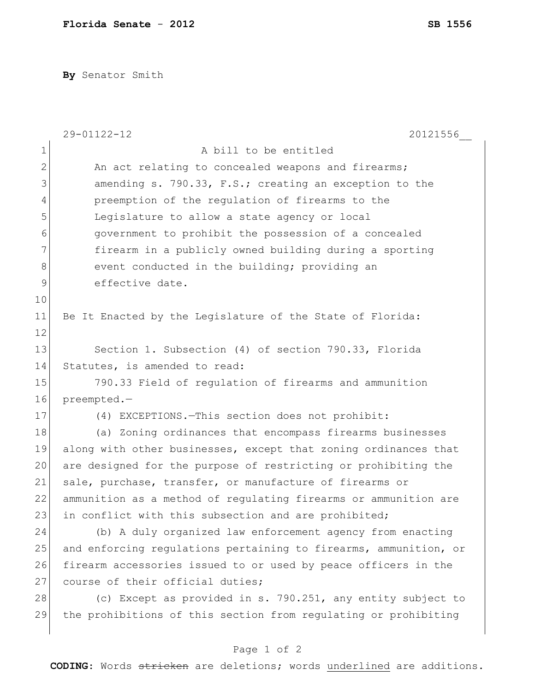**By** Senator Smith

|              | 29-01122-12<br>20121556                                          |
|--------------|------------------------------------------------------------------|
| $\mathbf 1$  | A bill to be entitled                                            |
| $\mathbf{2}$ | An act relating to concealed weapons and firearms;               |
| 3            | amending s. 790.33, F.S.; creating an exception to the           |
| 4            | preemption of the regulation of firearms to the                  |
| 5            | Legislature to allow a state agency or local                     |
| 6            | government to prohibit the possession of a concealed             |
| 7            | firearm in a publicly owned building during a sporting           |
| 8            | event conducted in the building; providing an                    |
| 9            | effective date.                                                  |
| 10           |                                                                  |
| 11           | Be It Enacted by the Legislature of the State of Florida:        |
| 12           |                                                                  |
| 13           | Section 1. Subsection (4) of section 790.33, Florida             |
| 14           | Statutes, is amended to read:                                    |
| 15           | 790.33 Field of regulation of firearms and ammunition            |
| 16           | preempted.-                                                      |
| 17           | (4) EXCEPTIONS. - This section does not prohibit:                |
| 18           | (a) Zoning ordinances that encompass firearms businesses         |
| 19           | along with other businesses, except that zoning ordinances that  |
| 20           | are designed for the purpose of restricting or prohibiting the   |
| 21           | sale, purchase, transfer, or manufacture of firearms or          |
| 22           | ammunition as a method of regulating firearms or ammunition are  |
| 23           | in conflict with this subsection and are prohibited;             |
| 24           | (b) A duly organized law enforcement agency from enacting        |
| 25           | and enforcing regulations pertaining to firearms, ammunition, or |
| 26           | firearm accessories issued to or used by peace officers in the   |
| 27           | course of their official duties;                                 |
| 28           | (c) Except as provided in s. 790.251, any entity subject to      |
| 29           | the prohibitions of this section from regulating or prohibiting  |
|              |                                                                  |
|              | Page 1 of 2                                                      |

**CODING**: Words stricken are deletions; words underlined are additions.